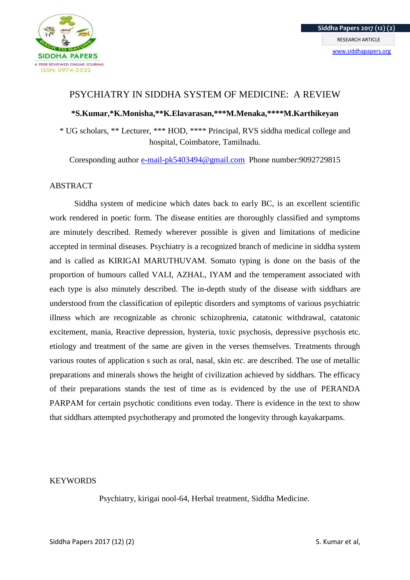

# PSYCHIATRY IN SIDDHA SYSTEM OF MEDICINE: A REVIEW

# **\*S.Kumar,\*K.Monisha,\*\*K.Elavarasan,\*\*\*M.Menaka,\*\*\*\*M.Karthikeyan**

\* UG scholars, \*\* Lecturer, \*\*\* HOD, \*\*\*\* Principal, RVS siddha medical college and hospital, Coimbatore, Tamilnadu.

Coresponding author [e-mail-pk5403494@gmail.com](mailto:e-mail-pk5403494@gmail.com) Phone number:9092729815

### ABSTRACT

Siddha system of medicine which dates back to early BC, is an excellent scientific work rendered in poetic form. The disease entities are thoroughly classified and symptoms are minutely described. Remedy wherever possible is given and limitations of medicine accepted in terminal diseases. Psychiatry is a recognized branch of medicine in siddha system and is called as KIRIGAI MARUTHUVAM. Somato typing is done on the basis of the proportion of humours called VALI, AZHAL, IYAM and the temperament associated with each type is also minutely described. The in-depth study of the disease with siddhars are understood from the classification of epileptic disorders and symptoms of various psychiatric illness which are recognizable as chronic schizophrenia, catatonic withdrawal, catatonic excitement, mania, Reactive depression, hysteria, toxic psychosis, depressive psychosis etc. etiology and treatment of the same are given in the verses themselves. Treatments through various routes of application s such as oral, nasal, skin etc. are described. The use of metallic preparations and minerals shows the height of civilization achieved by siddhars. The efficacy of their preparations stands the test of time as is evidenced by the use of PERANDA PARPAM for certain psychotic conditions even today. There is evidence in the text to show that siddhars attempted psychotherapy and promoted the longevity through kayakarpams.

### **KEYWORDS**

Psychiatry, kirigai nool-64, Herbal treatment, Siddha Medicine.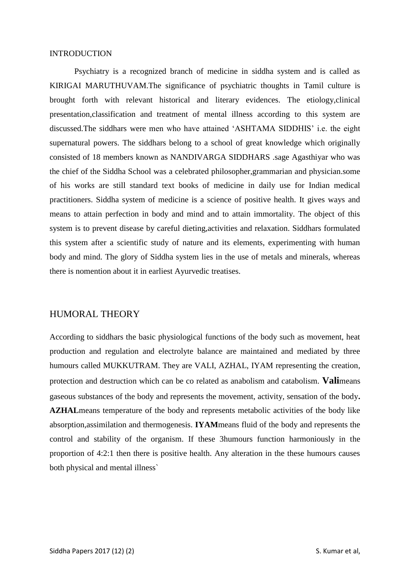#### INTRODUCTION

Psychiatry is a recognized branch of medicine in siddha system and is called as KIRIGAI MARUTHUVAM.The significance of psychiatric thoughts in Tamil culture is brought forth with relevant historical and literary evidences. The etiology,clinical presentation,classification and treatment of mental illness according to this system are discussed.The siddhars were men who have attained 'ASHTAMA SIDDHIS' i.e. the eight supernatural powers. The siddhars belong to a school of great knowledge which originally consisted of 18 members known as NANDIVARGA SIDDHARS .sage Agasthiyar who was the chief of the Siddha School was a celebrated philosopher,grammarian and physician.some of his works are still standard text books of medicine in daily use for Indian medical practitioners. Siddha system of medicine is a science of positive health. It gives ways and means to attain perfection in body and mind and to attain immortality. The object of this system is to prevent disease by careful dieting,activities and relaxation. Siddhars formulated this system after a scientific study of nature and its elements, experimenting with human body and mind. The glory of Siddha system lies in the use of metals and minerals, whereas there is nomention about it in earliest Ayurvedic treatises.

# HUMORAL THEORY

According to siddhars the basic physiological functions of the body such as movement, heat production and regulation and electrolyte balance are maintained and mediated by three humours called MUKKUTRAM. They are VALI, AZHAL, IYAM representing the creation, protection and destruction which can be co related as anabolism and catabolism. **Vali**means gaseous substances of the body and represents the movement, activity, sensation of the body**. AZHAL**means temperature of the body and represents metabolic activities of the body like absorption,assimilation and thermogenesis. **IYAM**means fluid of the body and represents the control and stability of the organism. If these 3humours function harmoniously in the proportion of 4:2:1 then there is positive health. Any alteration in the these humours causes both physical and mental illness`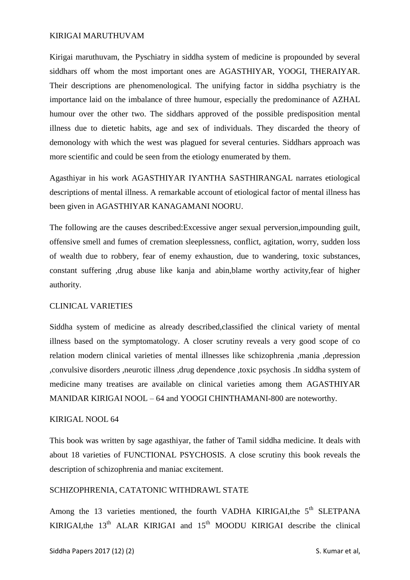#### KIRIGAI MARUTHUVAM

Kirigai maruthuvam, the Pyschiatry in siddha system of medicine is propounded by several siddhars off whom the most important ones are AGASTHIYAR, YOOGI, THERAIYAR. Their descriptions are phenomenological. The unifying factor in siddha psychiatry is the importance laid on the imbalance of three humour, especially the predominance of AZHAL humour over the other two. The siddhars approved of the possible predisposition mental illness due to dietetic habits, age and sex of individuals. They discarded the theory of demonology with which the west was plagued for several centuries. Siddhars approach was more scientific and could be seen from the etiology enumerated by them.

Agasthiyar in his work AGASTHIYAR IYANTHA SASTHIRANGAL narrates etiological descriptions of mental illness. A remarkable account of etiological factor of mental illness has been given in AGASTHIYAR KANAGAMANI NOORU.

The following are the causes described:Excessive anger sexual perversion,impounding guilt, offensive smell and fumes of cremation sleeplessness, conflict, agitation, worry, sudden loss of wealth due to robbery, fear of enemy exhaustion, due to wandering, toxic substances, constant suffering ,drug abuse like kanja and abin,blame worthy activity,fear of higher authority.

#### CLINICAL VARIETIES

Siddha system of medicine as already described,classified the clinical variety of mental illness based on the symptomatology. A closer scrutiny reveals a very good scope of co relation modern clinical varieties of mental illnesses like schizophrenia ,mania ,depression ,convulsive disorders ,neurotic illness ,drug dependence ,toxic psychosis .In siddha system of medicine many treatises are available on clinical varieties among them AGASTHIYAR MANIDAR KIRIGAI NOOL – 64 and YOOGI CHINTHAMANI-800 are noteworthy.

#### KIRIGAL NOOL 64

This book was written by sage agasthiyar, the father of Tamil siddha medicine. It deals with about 18 varieties of FUNCTIONAL PSYCHOSIS. A close scrutiny this book reveals the description of schizophrenia and maniac excitement.

#### SCHIZOPHRENIA, CATATONIC WITHDRAWL STATE

Among the 13 varieties mentioned, the fourth VADHA KIRIGAI, the  $5<sup>th</sup>$  SLETPANA KIRIGAI,the  $13<sup>th</sup>$  ALAR KIRIGAI and  $15<sup>th</sup>$  MOODU KIRIGAI describe the clinical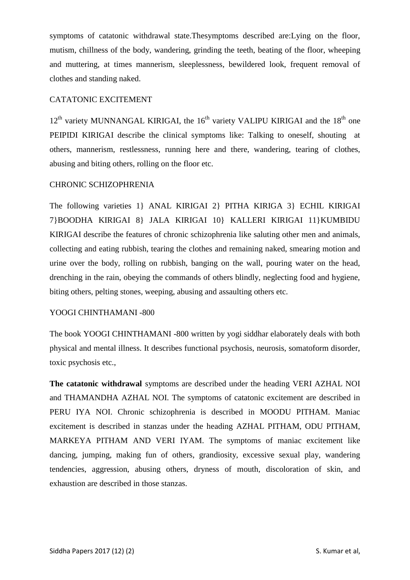symptoms of catatonic withdrawal state.Thesymptoms described are:Lying on the floor, mutism, chillness of the body, wandering, grinding the teeth, beating of the floor, wheeping and muttering, at times mannerism, sleeplessness, bewildered look, frequent removal of clothes and standing naked.

# CATATONIC EXCITEMENT

 $12<sup>th</sup>$  variety MUNNANGAL KIRIGAI, the 16<sup>th</sup> variety VALIPU KIRIGAI and the 18<sup>th</sup> one PEIPIDI KIRIGAI describe the clinical symptoms like: Talking to oneself, shouting at others, mannerism, restlessness, running here and there, wandering, tearing of clothes, abusing and biting others, rolling on the floor etc.

# CHRONIC SCHIZOPHRENIA

The following varieties 1} ANAL KIRIGAI 2} PITHA KIRIGA 3} ECHIL KIRIGAI 7}BOODHA KIRIGAI 8} JALA KIRIGAI 10} KALLERI KIRIGAI 11}KUMBIDU KIRIGAI describe the features of chronic schizophrenia like saluting other men and animals, collecting and eating rubbish, tearing the clothes and remaining naked, smearing motion and urine over the body, rolling on rubbish, banging on the wall, pouring water on the head, drenching in the rain, obeying the commands of others blindly, neglecting food and hygiene, biting others, pelting stones, weeping, abusing and assaulting others etc.

### YOOGI CHINTHAMANI -800

The book YOOGI CHINTHAMANI -800 written by yogi siddhar elaborately deals with both physical and mental illness. It describes functional psychosis, neurosis, somatoform disorder, toxic psychosis etc.,

**The catatonic withdrawal** symptoms are described under the heading VERI AZHAL NOI and THAMANDHA AZHAL NOI. The symptoms of catatonic excitement are described in PERU IYA NOI. Chronic schizophrenia is described in MOODU PITHAM. Maniac excitement is described in stanzas under the heading AZHAL PITHAM, ODU PITHAM, MARKEYA PITHAM AND VERI IYAM. The symptoms of maniac excitement like dancing, jumping, making fun of others, grandiosity, excessive sexual play, wandering tendencies, aggression, abusing others, dryness of mouth, discoloration of skin, and exhaustion are described in those stanzas.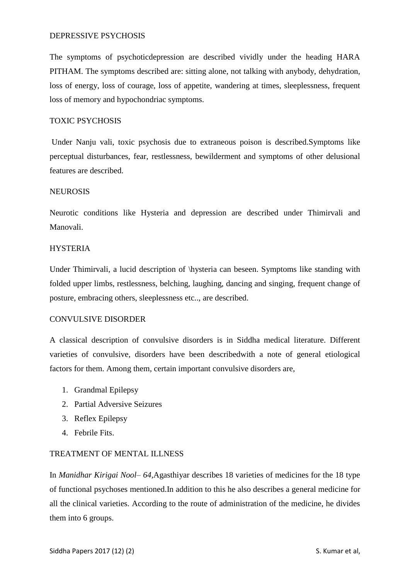### DEPRESSIVE PSYCHOSIS

The symptoms of psychoticdepression are described vividly under the heading HARA PITHAM. The symptoms described are: sitting alone, not talking with anybody, dehydration, loss of energy, loss of courage, loss of appetite, wandering at times, sleeplessness, frequent loss of memory and hypochondriac symptoms.

### TOXIC PSYCHOSIS

Under Nanju vali, toxic psychosis due to extraneous poison is described.Symptoms like perceptual disturbances, fear, restlessness, bewilderment and symptoms of other delusional features are described.

### **NEUROSIS**

Neurotic conditions like Hysteria and depression are described under Thimirvali and Manovali.

## **HYSTERIA**

Under Thimirvali, a lucid description of \hysteria can beseen. Symptoms like standing with folded upper limbs, restlessness, belching, laughing, dancing and singing, frequent change of posture, embracing others, sleeplessness etc.., are described.

### CONVULSIVE DISORDER

A classical description of convulsive disorders is in Siddha medical literature. Different varieties of convulsive, disorders have been describedwith a note of general etiological factors for them. Among them, certain important convulsive disorders are,

- 1. Grandmal Epilepsy
- 2. Partial Adversive Seizures
- 3. Reflex Epilepsy
- 4. Febrile Fits.

### TREATMENT OF MENTAL ILLNESS

In *Manidhar Kirigai Nool– 64,*Agasthiyar describes 18 varieties of medicines for the 18 type of functional psychoses mentioned.In addition to this he also describes a general medicine for all the clinical varieties. According to the route of administration of the medicine, he divides them into 6 groups.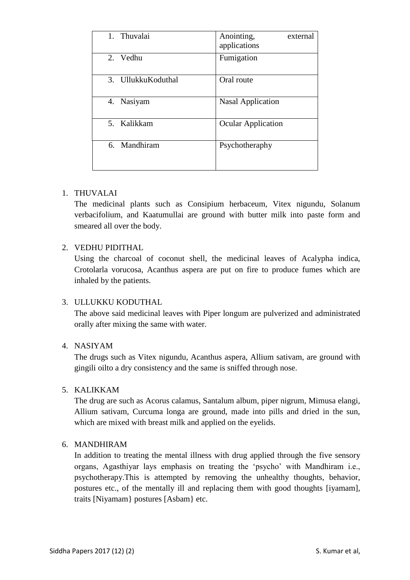| Thuvalai<br>1 <sub>1</sub> | Anointing,<br>external<br>applications |
|----------------------------|----------------------------------------|
| 2. Vedhu                   | Fumigation                             |
| 3. Ullukku Koduthal        | Oral route                             |
| Nasiyam<br>4.              | <b>Nasal Application</b>               |
| 5. Kalikkam                | <b>Ocular Application</b>              |
| Mandhiram<br>6.            | Psychotheraphy                         |

# 1. THUVALAI

The medicinal plants such as Consipium herbaceum, Vitex nigundu, Solanum verbacifolium, and Kaatumullai are ground with butter milk into paste form and smeared all over the body.

# 2. VEDHU PIDITHAL

Using the charcoal of coconut shell, the medicinal leaves of Acalypha indica, Crotolarla vorucosa, Acanthus aspera are put on fire to produce fumes which are inhaled by the patients.

### 3. ULLUKKU KODUTHAL

The above said medicinal leaves with Piper longum are pulverized and administrated orally after mixing the same with water.

## 4. NASIYAM

The drugs such as Vitex nigundu, Acanthus aspera, Allium sativam, are ground with gingili oilto a dry consistency and the same is sniffed through nose.

## 5. KALIKKAM

The drug are such as Acorus calamus, Santalum album, piper nigrum, Mimusa elangi, Allium sativam, Curcuma longa are ground, made into pills and dried in the sun, which are mixed with breast milk and applied on the eyelids.

## 6. MANDHIRAM

In addition to treating the mental illness with drug applied through the five sensory organs, Agasthiyar lays emphasis on treating the 'psycho' with Mandhiram i.e., psychotherapy.This is attempted by removing the unhealthy thoughts, behavior, postures etc., of the mentally ill and replacing them with good thoughts [iyamam], traits [Niyamam} postures [Asbam} etc.